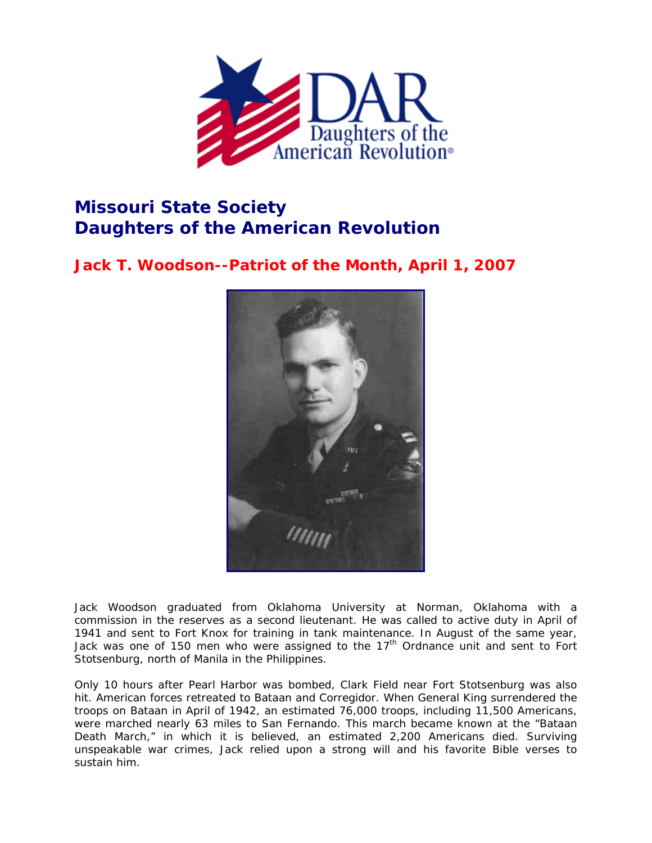

## **Missouri State Society Daughters of the American Revolution**

**Jack T. Woodson--Patriot of the Month, April 1, 2007** 



Jack Woodson graduated from Oklahoma University at Norman, Oklahoma with a commission in the reserves as a second lieutenant. He was called to active duty in April of 1941 and sent to Fort Knox for training in tank maintenance. In August of the same year, Jack was one of 150 men who were assigned to the  $17<sup>th</sup>$  Ordnance unit and sent to Fort Stotsenburg, north of Manila in the Philippines.

Only 10 hours after Pearl Harbor was bombed, Clark Field near Fort Stotsenburg was also hit. American forces retreated to Bataan and Corregidor. When General King surrendered the troops on Bataan in April of 1942, an estimated 76,000 troops, including 11,500 Americans, were marched nearly 63 miles to San Fernando. This march became known at the "Bataan Death March," in which it is believed, an estimated 2,200 Americans died. Surviving unspeakable war crimes, Jack relied upon a strong will and his favorite Bible verses to sustain him.